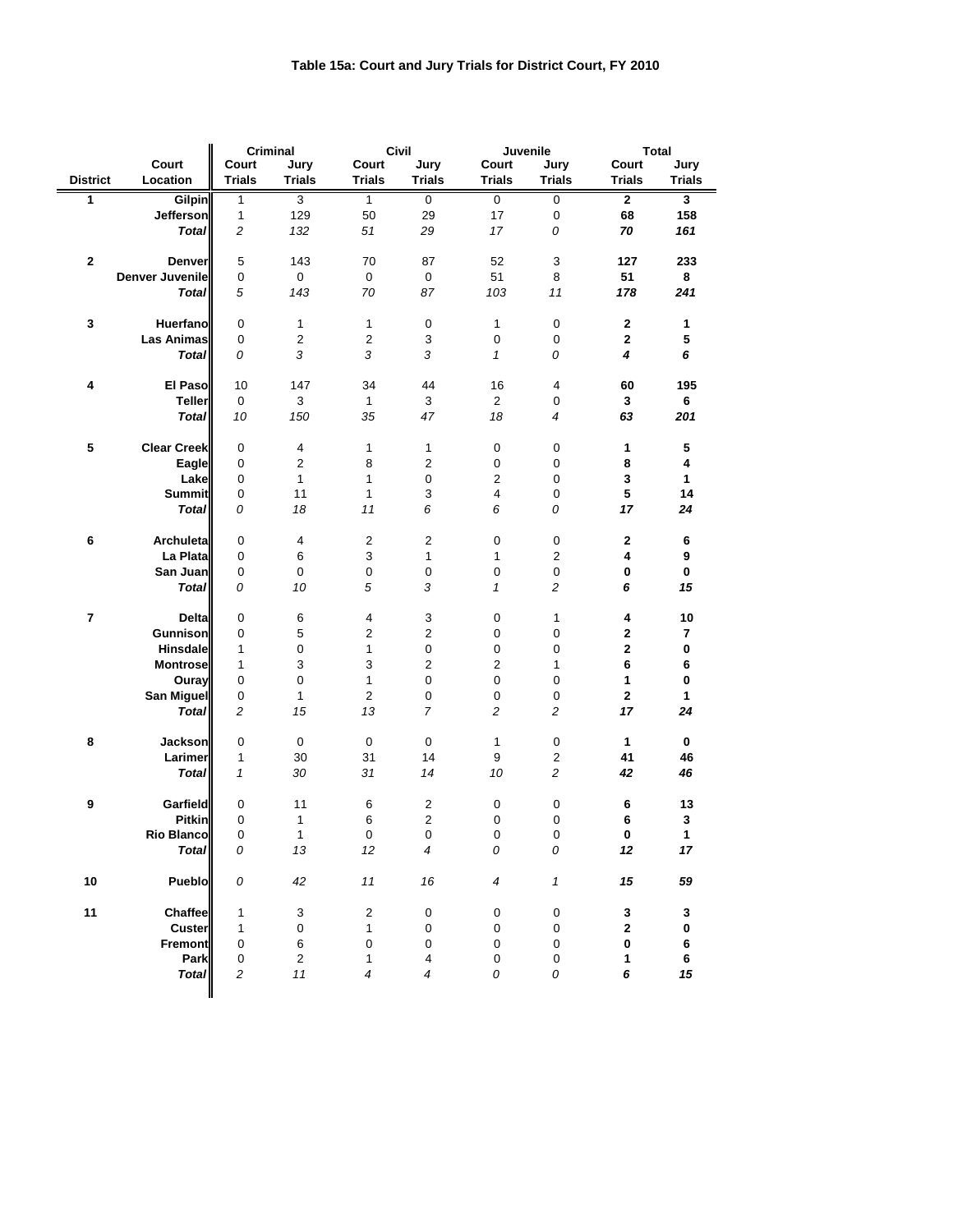## **Table 15a: Court and Jury Trials for District Court, FY 2010**

|                  |                        | <b>Criminal</b><br><b>Civil</b> |                           | <b>Juvenile</b>          |                           | <b>Total</b>     |                           |                         |                         |
|------------------|------------------------|---------------------------------|---------------------------|--------------------------|---------------------------|------------------|---------------------------|-------------------------|-------------------------|
|                  | Court                  | Court                           | Jury                      | Court                    | Jury                      | <b>Court</b>     | Jury                      | Court                   | Jury                    |
| <b>District</b>  | Location               | <b>Trials</b>                   | <b>Trials</b>             | <b>Trials</b>            | <b>Trials</b>             | <b>Trials</b>    | <b>Trials</b>             | <b>Trials</b>           | <b>Trials</b>           |
| 1                | <b>Gilpin</b>          | 1                               | $\overline{3}$            | $\mathbf{1}$             | $\pmb{0}$                 | $\mathsf 0$      | $\mathsf 0$               | $\overline{2}$          | $\overline{\mathbf{3}}$ |
|                  | <b>Jefferson</b>       | $\mathbf{1}$                    | 129                       | 50                       | 29                        | 17               | $\pmb{0}$                 | 68                      | 158                     |
|                  | <b>Total</b>           | $\boldsymbol{2}$                | 132                       | 51                       | 29                        | 17               | ${\cal O}$                | 70                      | 161                     |
|                  |                        |                                 |                           |                          |                           |                  |                           |                         |                         |
| $\mathbf 2$      | <b>Denver</b>          | 5                               | 143                       | 70                       | 87                        | 52               | $\ensuremath{\mathsf{3}}$ | 127                     | 233                     |
|                  | <b>Denver Juvenile</b> | 0                               | $\mathbf 0$               | $\mathbf 0$              | $\pmb{0}$                 | 51               | 8                         | 51                      | 8                       |
|                  | <b>Total</b>           | 5                               | 143                       | 70                       | 87                        | 103              | 11                        | 178                     | 241                     |
|                  |                        |                                 |                           |                          |                           |                  |                           |                         |                         |
| $\mathbf 3$      | <b>Huerfano</b>        | 0                               | 1                         | 1                        | $\pmb{0}$                 | 1                | $\pmb{0}$                 | $\bf{2}$                | 1                       |
|                  | <b>Las Animas</b>      | $\pmb{0}$                       | $\overline{c}$            | $\overline{c}$           | $\ensuremath{\mathsf{3}}$ | $\pmb{0}$        | $\pmb{0}$                 | $\mathbf 2$             | $\overline{\mathbf{5}}$ |
|                  |                        | 0                               | 3                         | 3                        | 3                         |                  |                           | $\overline{\mathbf{4}}$ | 6                       |
|                  | <b>Total</b>           |                                 |                           |                          |                           | $\mathbf{1}$     | 0                         |                         |                         |
|                  |                        |                                 |                           |                          |                           |                  |                           |                         |                         |
| 4                | El Paso                | 10                              | 147                       | 34                       | 44                        | 16               | 4                         | 60                      | 195                     |
|                  | <b>Teller</b>          | $\mathsf 0$                     | 3                         | $\mathbf{1}$             | $\sqrt{3}$                | $\overline{2}$   | $\pmb{0}$                 | 3                       | 6                       |
|                  | <b>Total</b>           | 10                              | 150                       | 35                       | 47                        | 18               | $\overline{\mathcal{A}}$  | 63                      | 201                     |
|                  |                        |                                 |                           |                          |                           |                  |                           |                         |                         |
| 5                | <b>Clear Creek</b>     | 0                               | 4                         | 1                        | 1                         | $\pmb{0}$        | $\,0\,$                   | 1                       | 5                       |
|                  | Eagle                  | 0                               | $\boldsymbol{2}$          | 8                        | $\boldsymbol{2}$          | 0                | 0                         | 8                       | 4                       |
|                  | Lake                   | 0                               | 1                         | 1                        | 0                         | 2                | 0                         | 3                       | $\mathbf{1}$            |
|                  | <b>Summit</b>          | $\pmb{0}$                       | 11                        | 1                        | $\ensuremath{\mathsf{3}}$ | 4                | 0                         | 5                       | 14                      |
|                  | <b>Total</b>           | 0                               | 18                        | 11                       | 6                         | 6                | 0                         | 17                      | 24                      |
|                  |                        |                                 |                           |                          |                           |                  |                           |                         |                         |
| 6                | <b>Archuleta</b>       | 0                               | 4                         | $\overline{2}$           | $\boldsymbol{2}$          | $\pmb{0}$        | $\pmb{0}$                 | $\boldsymbol{2}$        | 6                       |
|                  | La Plata               | 0                               | 6                         | $\mathbf{3}$             | $\mathbf{1}$              | 1                | $\overline{c}$            | 4                       | $\boldsymbol{9}$        |
|                  | San Juan               | 0                               | 0                         | $\pmb{0}$                | $\pmb{0}$                 | $\pmb{0}$        | $\pmb{0}$                 | $\pmb{0}$               | $\mathbf 0$             |
|                  | <b>Total</b>           | 0                               | 10                        | $\sqrt{5}$               | 3                         | $\mathbf{1}$     | $\overline{c}$            | 6                       | 15                      |
|                  |                        |                                 |                           |                          |                           |                  |                           |                         |                         |
| $\boldsymbol{7}$ | <b>Delta</b>           | 0                               | 6                         | 4                        | 3                         | $\pmb{0}$        | 1                         | 4                       | 10                      |
|                  | Gunnison               | 0                               | 5                         | 2                        | $\overline{c}$            | $\pmb{0}$        | $\pmb{0}$                 | $\mathbf 2$             | $\overline{\mathbf{r}}$ |
|                  | <b>Hinsdale</b>        | 1                               | $\pmb{0}$                 | 1                        | $\mathbf 0$               | $\pmb{0}$        | 0                         | $\mathbf 2$             | $\pmb{0}$               |
|                  | <b>Montrose</b>        | 1                               | $\ensuremath{\mathsf{3}}$ | 3                        | $\boldsymbol{2}$          | $\overline{c}$   | 1                         | $\bf 6$                 | 6                       |
|                  | Ouray                  | $\pmb{0}$                       | $\pmb{0}$                 | $\mathbf{1}$             | $\mathbf 0$               | $\pmb{0}$        | $\pmb{0}$                 | 1                       | $\pmb{0}$               |
|                  | San Miguel             | 0                               | $\mathbf{1}$              | $\boldsymbol{2}$         | $\pmb{0}$                 | $\pmb{0}$        | $\,0\,$                   | $\mathbf 2$             | 1                       |
|                  | <b>Total</b>           | $\overline{c}$                  | 15                        | 13                       | $\overline{7}$            | 2                | $\overline{\mathbf{c}}$   | 17                      | 24                      |
|                  |                        |                                 |                           |                          |                           |                  |                           |                         |                         |
| 8                | <b>Jackson</b>         | 0                               | $\pmb{0}$                 | $\pmb{0}$                | $\mathbf 0$               | $\mathbf{1}$     | $\pmb{0}$                 | $\mathbf{1}$            | $\pmb{0}$               |
|                  | Larimer                | 1                               | 30                        | 31                       | 14                        | $\boldsymbol{9}$ | $\overline{c}$            | 41                      | 46                      |
|                  | <b>Total</b>           | 1                               | 30                        | 31                       | 14                        | 10               | $\overline{c}$            | 42                      | 46                      |
|                  |                        |                                 |                           |                          |                           |                  |                           |                         |                         |
| $\boldsymbol{9}$ | Garfield               | 0                               | 11                        | $\,6$                    | $\overline{c}$            | $\pmb{0}$        | $\pmb{0}$                 | $\bf 6$                 | 13                      |
|                  | <b>Pitkin</b>          | 0                               | $\mathbf{1}$              | $\,6$                    | $\boldsymbol{2}$          | $\pmb{0}$        | 0                         | 6                       | $\mathbf{3}$            |
|                  | <b>Rio Blanco</b>      | $\pmb{0}$                       | $\mathbf{1}$              | $\pmb{0}$                | $\pmb{0}$                 | $\pmb{0}$        | 0                         | $\mathbf 0$             | 1                       |
|                  |                        |                                 |                           |                          | $\overline{\mathcal{A}}$  |                  | 0                         |                         |                         |
|                  | <b>Total</b>           | 0                               | 13                        | 12                       |                           | 0                |                           | 12                      | 17                      |
|                  |                        |                                 |                           |                          |                           |                  |                           |                         |                         |
| 10               | Pueblo                 | ${\cal O}$                      | 42                        | 11                       | 16                        | 4                | 1                         | 15                      | 59                      |
|                  |                        |                                 |                           |                          |                           |                  |                           |                         |                         |
| 11               | <b>Chaffee</b>         | $\mathbf{1}$                    | 3                         | $\overline{2}$           | $\pmb{0}$                 | $\pmb{0}$        | 0                         | 3                       | 3                       |
|                  | <b>Custer</b>          | 1                               | $\pmb{0}$                 | 1                        | 0                         | $\pmb{0}$        | $\mathbf 0$               | $\mathbf 2$             | $\pmb{0}$               |
|                  | Fremont                | 0                               | 6                         | $\pmb{0}$                | 0                         | $\pmb{0}$        | $\mathbf 0$               | $\pmb{0}$               | 6                       |
|                  | Park                   | 0                               | $\overline{c}$            | 1                        | $\overline{\mathbf{4}}$   | $\pmb{0}$        | 0                         | 1                       | 6                       |
|                  | <b>Total</b>           | $\overline{c}$                  | $11$                      | $\overline{\mathcal{A}}$ | $\overline{\mathcal{A}}$  | 0                | 0                         | 6                       | 15                      |